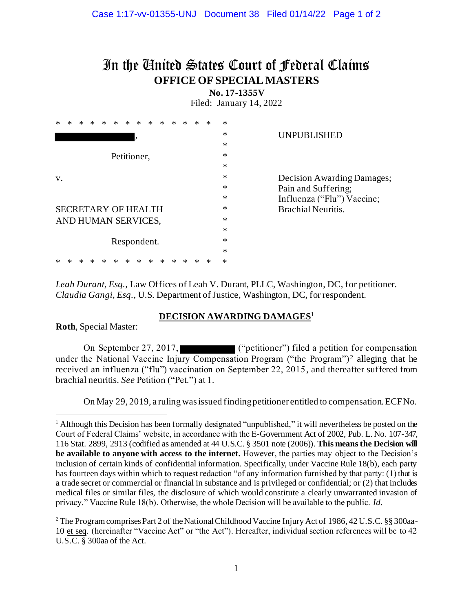## In the United States Court of Federal Claims **OFFICE OF SPECIAL MASTERS**

**No. 17-1355V**

Filed: January 14, 2022

| *  | ж                          |  |  |  |  |  |             |             |  |   | ж | *                         | * | * |                            |
|----|----------------------------|--|--|--|--|--|-------------|-------------|--|---|---|---------------------------|---|---|----------------------------|
|    |                            |  |  |  |  |  |             |             |  |   |   |                           |   | ∗ | <b>UNPUBLISHED</b>         |
|    |                            |  |  |  |  |  |             |             |  |   |   |                           |   | ∗ |                            |
|    |                            |  |  |  |  |  | Petitioner, |             |  |   |   |                           |   |   |                            |
|    |                            |  |  |  |  |  |             |             |  |   |   |                           | * |   |                            |
| V. |                            |  |  |  |  |  |             |             |  |   |   |                           |   | ∗ | Decision Awarding Damages; |
|    |                            |  |  |  |  |  |             |             |  |   |   |                           |   | * | Pain and Suffering;        |
|    |                            |  |  |  |  |  |             |             |  |   |   |                           |   | * | Influenza ("Flu") Vaccine; |
|    | <b>SECRETARY OF HEALTH</b> |  |  |  |  |  |             |             |  |   |   | <b>Brachial Neuritis.</b> |   |   |                            |
|    | AND HUMAN SERVICES,        |  |  |  |  |  |             |             |  |   |   |                           |   |   |                            |
|    | ∗                          |  |  |  |  |  |             |             |  |   |   |                           |   |   |                            |
|    |                            |  |  |  |  |  |             | Respondent. |  |   |   |                           |   | * |                            |
|    |                            |  |  |  |  |  |             |             |  |   |   |                           |   | ∗ |                            |
|    |                            |  |  |  |  |  |             |             |  | ж |   |                           |   | * |                            |
|    |                            |  |  |  |  |  |             |             |  |   |   |                           |   |   |                            |

*Leah Durant, Esq.,* Law Offices of Leah V. Durant, PLLC, Washington, DC, for petitioner. *Claudia Gangi, Esq.,* U.S. Department of Justice, Washington, DC, for respondent.

## **DECISION AWARDING DAMAGES<sup>1</sup>**

**Roth**, Special Master:

On September 27, 2017, ("petitioner") filed a petition for compensation under the National Vaccine Injury Compensation Program ("the Program")<sup>2</sup> alleging that he received an influenza ("flu") vaccination on September 22, 2015, and thereafter suffered from brachial neuritis. *See* Petition ("Pet.") at 1.

On May 29, 2019, a ruling was issued finding petitioner entitled to compensation. ECF No.

<sup>&</sup>lt;sup>1</sup> Although this Decision has been formally designated "unpublished," it will nevertheless be posted on the Court of Federal Claims' website, in accordance with the E-Government Act of 2002, Pub. L. No. 107-347, 116 Stat. 2899, 2913 (codified as amended at 44 U.S.C. § 3501 note (2006)). **This means the Decision will be available to anyone with access to the internet.** However, the parties may object to the Decision's inclusion of certain kinds of confidential information. Specifically, under Vaccine Rule 18(b), each party has fourteen days within which to request redaction "of any information furnished by that party: (1) that is a trade secret or commercial or financial in substance and is privileged or confidential; or (2) that includes medical files or similar files, the disclosure of which would constitute a clearly unwarranted invasion of privacy." Vaccine Rule 18(b). Otherwise, the whole Decision will be available to the public. *Id*.

<sup>2</sup> The Program comprises Part 2 of the National Childhood Vaccine Injury Act of 1986, 42 U.S.C. §§ 300aa-10 et seq. (hereinafter "Vaccine Act" or "the Act"). Hereafter, individual section references will be to 42 U.S.C. § 300aa of the Act.